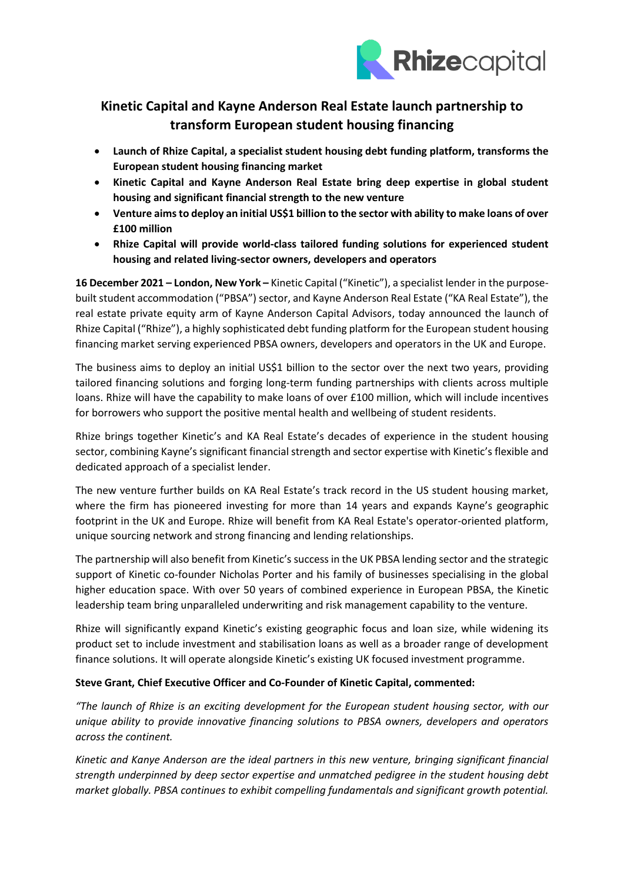

# **Kinetic Capital and Kayne Anderson Real Estate launch partnership to transform European student housing financing**

- **Launch of Rhize Capital, a specialist student housing debt funding platform, transforms the European student housing financing market**
- **Kinetic Capital and Kayne Anderson Real Estate bring deep expertise in global student housing and significant financial strength to the new venture**
- **Venture aims to deploy an initial US\$1 billion to the sector with ability to make loans of over £100 million**
- **Rhize Capital will provide world-class tailored funding solutions for experienced student housing and related living-sector owners, developers and operators**

**16 December 2021 – London, New York –** Kinetic Capital ("Kinetic"), a specialist lender in the purposebuilt student accommodation ("PBSA") sector, and Kayne Anderson Real Estate ("KA Real Estate"), the real estate private equity arm of Kayne Anderson Capital Advisors, today announced the launch of Rhize Capital ("Rhize"), a highly sophisticated debt funding platform for the European student housing financing market serving experienced PBSA owners, developers and operators in the UK and Europe.

The business aims to deploy an initial US\$1 billion to the sector over the next two years, providing tailored financing solutions and forging long-term funding partnerships with clients across multiple loans. Rhize will have the capability to make loans of over £100 million, which will include incentives for borrowers who support the positive mental health and wellbeing of student residents.

Rhize brings together Kinetic's and KA Real Estate's decades of experience in the student housing sector, combining Kayne's significant financial strength and sector expertise with Kinetic's flexible and dedicated approach of a specialist lender.

The new venture further builds on KA Real Estate's track record in the US student housing market, where the firm has pioneered investing for more than 14 years and expands Kayne's geographic footprint in the UK and Europe. Rhize will benefit from KA Real Estate's operator-oriented platform, unique sourcing network and strong financing and lending relationships.

The partnership will also benefit from Kinetic's success in the UK PBSA lending sector and the strategic support of Kinetic co-founder Nicholas Porter and his family of businesses specialising in the global higher education space. With over 50 years of combined experience in European PBSA, the Kinetic leadership team bring unparalleled underwriting and risk management capability to the venture.

Rhize will significantly expand Kinetic's existing geographic focus and loan size, while widening its product set to include investment and stabilisation loans as well as a broader range of development finance solutions. It will operate alongside Kinetic's existing UK focused investment programme.

## **Steve Grant, Chief Executive Officer and Co-Founder of Kinetic Capital, commented:**

*"The launch of Rhize is an exciting development for the European student housing sector, with our unique ability to provide innovative financing solutions to PBSA owners, developers and operators across the continent.*

*Kinetic and Kanye Anderson are the ideal partners in this new venture, bringing significant financial strength underpinned by deep sector expertise and unmatched pedigree in the student housing debt market globally. PBSA continues to exhibit compelling fundamentals and significant growth potential.*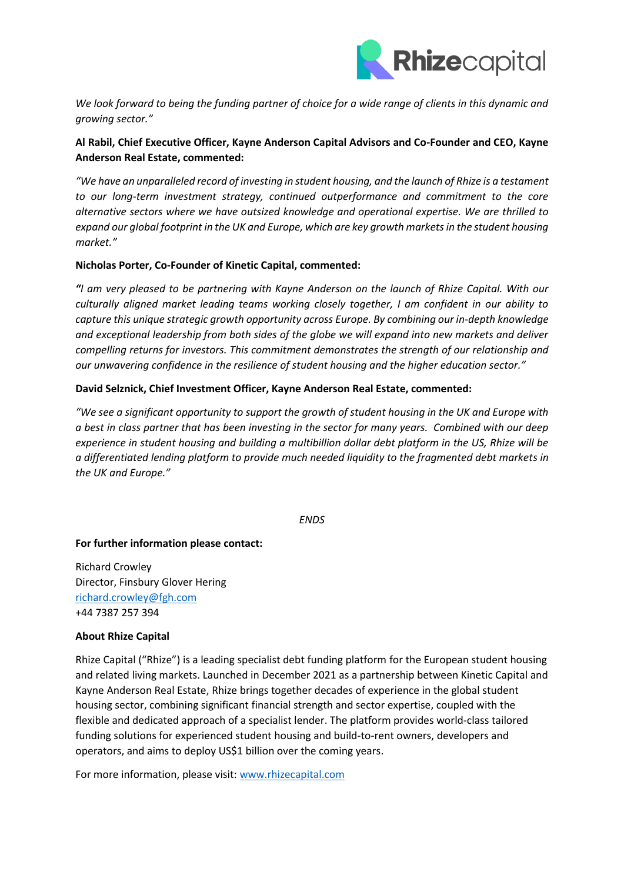

*We look forward to being the funding partner of choice for a wide range of clients in this dynamic and growing sector."*

## **Al Rabil, Chief Executive Officer, Kayne Anderson Capital Advisors and Co-Founder and CEO, Kayne Anderson Real Estate, commented:**

*"We have an unparalleled record of investing in student housing, and the launch of Rhize is a testament to our long-term investment strategy, continued outperformance and commitment to the core alternative sectors where we have outsized knowledge and operational expertise. We are thrilled to expand our global footprint in the UK and Europe, which are key growth marketsin the student housing market."*

### **Nicholas Porter, Co-Founder of Kinetic Capital, commented:**

*"I am very pleased to be partnering with Kayne Anderson on the launch of Rhize Capital. With our culturally aligned market leading teams working closely together, I am confident in our ability to capture this unique strategic growth opportunity across Europe. By combining our in-depth knowledge and exceptional leadership from both sides of the globe we will expand into new markets and deliver compelling returns for investors. This commitment demonstrates the strength of our relationship and our unwavering confidence in the resilience of student housing and the higher education sector."*

## **David Selznick, Chief Investment Officer, Kayne Anderson Real Estate, commented:**

*"We see a significant opportunity to support the growth of student housing in the UK and Europe with a best in class partner that has been investing in the sector for many years. Combined with our deep experience in student housing and building a multibillion dollar debt platform in the US, Rhize will be a differentiated lending platform to provide much needed liquidity to the fragmented debt markets in the UK and Europe."* 

*ENDS*

#### **For further information please contact:**

Richard Crowley Director, Finsbury Glover Hering [richard.crowley@fgh.com](mailto:richard.crowley@fgh.com) +44 7387 257 394

#### **About Rhize Capital**

Rhize Capital ("Rhize") is a leading specialist debt funding platform for the European student housing and related living markets. Launched in December 2021 as a partnership between Kinetic Capital and Kayne Anderson Real Estate, Rhize brings together decades of experience in the global student housing sector, combining significant financial strength and sector expertise, coupled with the flexible and dedicated approach of a specialist lender. The platform provides world-class tailored funding solutions for experienced student housing and build-to-rent owners, developers and operators, and aims to deploy US\$1 billion over the coming years.

For more information, please visit: [www.rhizecapital.com](http://www.rhizecapital.com/)